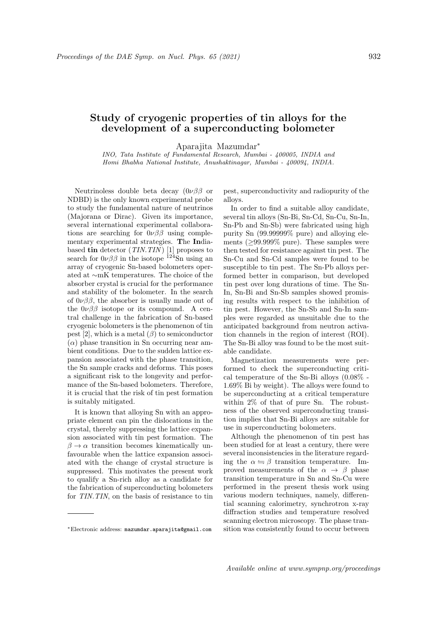## Study of cryogenic properties of tin alloys for the development of a superconducting bolometer

Aparajita Mazumdar<sup>∗</sup>

INO, Tata Institute of Fundamental Research, Mumbai - 400005, INDIA and Homi Bhabha National Institute, Anushaktinagar, Mumbai - 400094, INDIA.

Neutrinoless double beta decay  $(0\nu\beta\beta)$  or NDBD) is the only known experimental probe to study the fundamental nature of neutrinos (Majorana or Dirac). Given its importance, several international experimental collaborations are searching for  $0\nu\beta\beta$  using complementary experimental strategies. The Indiabased tin detector  $(TIN. TIN)$  [1] proposes to search for  $0\nu\beta\beta$  in the isotope  $124\text{Sn}$  using an array of cryogenic Sn-based bolometers operated at ∼mK temperatures. The choice of the absorber crystal is crucial for the performance and stability of the bolometer. In the search of  $0\nu\beta\beta$ , the absorber is usually made out of the  $0\nu\beta\beta$  isotope or its compound. A central challenge in the fabrication of Sn-based cryogenic bolometers is the phenomenon of tin pest [2], which is a metal  $(\beta)$  to semiconductor  $(\alpha)$  phase transition in Sn occurring near ambient conditions. Due to the sudden lattice expansion associated with the phase transition, the Sn sample cracks and deforms. This poses a significant risk to the longevity and performance of the Sn-based bolometers. Therefore, it is crucial that the risk of tin pest formation is suitably mitigated.

It is known that alloying Sn with an appropriate element can pin the dislocations in the crystal, thereby suppressing the lattice expansion associated with tin pest formation. The  $\beta \to \alpha$  transition becomes kinematically unfavourable when the lattice expansion associated with the change of crystal structure is suppressed. This motivates the present work to qualify a Sn-rich alloy as a candidate for the fabrication of superconducting bolometers for TIN.TIN, on the basis of resistance to tin

pest, superconductivity and radiopurity of the alloys.

In order to find a suitable alloy candidate, several tin alloys (Sn-Bi, Sn-Cd, Sn-Cu, Sn-In, Sn-Pb and Sn-Sb) were fabricated using high purity Sn (99.99999% pure) and alloying elements (≥99.999% pure). These samples were then tested for resistance against tin pest. The Sn-Cu and Sn-Cd samples were found to be susceptible to tin pest. The Sn-Pb alloys performed better in comparison, but developed tin pest over long durations of time. The Sn-In, Sn-Bi and Sn-Sb samples showed promising results with respect to the inhibition of tin pest. However, the Sn-Sb and Sn-In samples were regarded as unsuitable due to the anticipated background from neutron activation channels in the region of interest (ROI). The Sn-Bi alloy was found to be the most suitable candidate.

Magnetization measurements were performed to check the superconducting critical temperature of the Sn-Bi alloys (0.08% - 1.69% Bi by weight). The alloys were found to be superconducting at a critical temperature within 2% of that of pure Sn. The robustness of the observed superconducting transition implies that Sn-Bi alloys are suitable for use in superconducting bolometers.

Although the phenomenon of tin pest has been studied for at least a century, there were several inconsistencies in the literature regarding the  $\alpha \leftrightharpoons \beta$  transition temperature. Improved measurements of the  $\alpha \rightarrow \beta$  phase transition temperature in Sn and Sn-Cu were performed in the present thesis work using various modern techniques, namely, differential scanning calorimetry, synchrotron x-ray diffraction studies and temperature resolved scanning electron microscopy. The phase transition was consistently found to occur between

<sup>∗</sup>Electronic address: mazumdar.aparajita@gmail.com